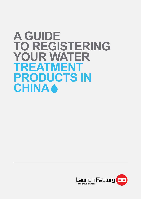# **A GUIDE TO REGISTERING YOUR WATER TREATMENT PRODUCTS IN CHINA**

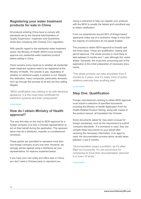#### **Registering your water treatment products for sale in China**

All products entering China have to comply with standards set by the General Administration of Quality Supervision, Inspection and Quarantine, whilst also complying with Chinese CCC regulation.

With specific regard to the residential water treatment sector, the Ministry of Health (MOH) must formally approve any residential water treatment product before selling in China.

There remains some doubt as to whether all residential water treatment systems need to be registered at the Ministry of Health. The answer is yes, regardless of whether an electrical supply is present or not. Despite this reiteration, many companies, particularly domestic, don't go through this process at all and are thus selling illegally.

"MOH certification has nothing to do with electrical appliance, it is the must-have certificate for treatment systems and their components".

#### Local expert

#### **How do I obtain Ministry of Health approval?**

The very first step on the road to MOH approval for a foreign company is to find a Chinese representative to act on their behalf during the application. The representative may be a distributor, importer or a professional contractor.

These parties are permitted to represent more than one foreign company at any one time. However, we strongly advise against using a distributor as your representative, for reasons explained below.

If you have your own entity and office here in China, you don't need a Chinese party to represent you.

Using a contractor to help you register your products with the MOH is usually the fastest and smoothest way to obtain certification.

From our experiences around 60% of foreign-based applicants make use of a contractor. Keep in mind that the majority of contractors do not speak English.

The process to obtain MOH approval is broadly split into three steps. These are qualification, testing and permit approval. The whole process is most likely to take between 6 months and 1 year although this varies widely. Generally, the most time consuming part of the application is the initial preparation of necessary documents.

"The whole process can take anywhere from 6 months to 2 years, and it's really more of public relations exercise than anything else".

#### Local expert

#### **Step One: Qualification**

Foreign manufacturers wishing to obtain MOH approval must submit a selection of specified documents including the Ministry of Health Application Form for Health-Related Product Testing, along with copies of the product manual, all translated into Chinese.

Some documents asked for may seem unusual for foreign companies, such as the requirement to submit 'company standards'. If a contractor is used, they can compile these documents on your behalf after receiving the necessary information. If an agent is used, the documentation process alone usually takes between 3 and 6 months.

"Documentation poses a problem, as it's often filled out incorrectly. It's not uncommon for companies to have their documentation returned 5 or even 10 times."

Local expert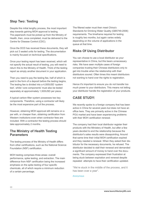## **Step Two: Testing**

Despite this initial lengthy process, the most important step towards gaining MOH approval is testing. The paperwork must be picked up from the Ministry of Health, then, once completed, must be delivered to the Centre for Disease Control (CDC).

Once the DCD has received these documents, they will pick out 3 sealed units for testing. The documentation is mainly focused on technical specifications.

Once your testing report has been received, which will not specify the actual result of testing, you will need to return this to the Ministry of Health. Think of the testing report as simply another document in your application.

Then you need to pay the testing fee, half of which is paid in the form of a deposit before the testing begins. The testing fee is divided into a 4,000USD 'system test', whilst 'core components' must also be tested separately at approximately 1,500USD per piece.

A typical carbon-filter system possesses two key components. Therefore, using a contractor will likely be the most expensive part of the process.

However, obtaining MOH approval still remains on a par with, or cheaper than, obtaining certification from Western institutions even when contractor fees are included. With a contractor the testing process should take approximately 2 months.

#### **The Ministry of Health Testing Parameters**

The testing process of the Ministry of Health differs from other certifications, such as the National Science Foundation (NSF) certification.

MOH testing comprises three areas: overall performance, spike testing, and extraction. The main difference from NSF certification being the increased emphasis on the spike testing of four specific chemicals, all of which require a minimum reduction of a certain percentage.

The filtered water must then meet China's Standards for Drinking Water Quality (GB5749-2006) requirements. The timeframe required for testing is roughly two months, but again varies widely depending on the volume of applications in the queue at that time.

### **Risks Of Using Distributor**

You can choose to use a local distributor as your representative in China, but this bears unnecessary risks. We have seen multiple cases of foreign companies trusting their Chinese distributors only to get into trouble when the relationship with their distributors soured. Often times this meant distributors not wanting to hand over the rights to registration.

Hence it's important to ensure you do not transfer too much power to your distributors. This means not letting your distributor handle the registration of your products.

#### **CASE STUDY:**

We recently spoke to a foreign company that has been active in China for several years but does not have an office here. They are primarily active in the Chinese POU market and have been experiencing problems with their MOH certification renewal.

The company had their local distributor register their products with the Ministery of Health, but after a few years decided to end the relationship because the distributor's sales results were dissapointing. Around that same time their initial MOH certification expired and they needed a renewal. When they asked their distributor for the necessary documents, he refused. The distributor decided to stall their renewal and demanded a significant amount of money to hand over the documents. The company expressed their frustration at being stuck between expiration and renewal despite repeated attempts to have their certification updated.

"We're stuck in the middle of the process, and it has been over a year".

Anonymous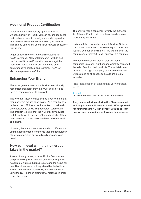### **Additional Product Certification**

In addition to the compulsory approval from the Chinese Ministry of Health, you can secure additional certification in order to boost your brand's reputation and increase consumer confidence in your product. This can be particularly useful in China were consumer trust is low.

Organisations like the Water Quality Association (WQA), American National Standards Institute and the National Science Foundation are amongst the most well known, and all work together to offer comprehensive certification programs. The WQA also has a presence in China.

## **Enhancing Your Brand**

Many foreign companies comply with internationally recognized standards from the WQA and NSF, and have all compulsory MOH approval.

The weight of these certificates has given rise to many manufacturers making false claims. As a result of this problem, the NSF has an entire section on their website dedicated to publicizing fraudulent certification. The problem is so big that the NSF officially advises that the only way to be sure of the authenticity of their certification is to check their database, which is available online.

However, there are other ways in order to differentiate your authentic product from those that are fraudulently claiming certification or even directly imitating your brand.

#### **How can I deal with the numerous fakes in the market?**

As one of many cases, in June 2014 a South Korean company selling water filtration and dispensing units fraudulently claimed that its product, and the active carbon filter within, were both registered by the National Science Foundation. Specifically, the company was using the NSF mark on promotional materials in order to sell the product.

The only way for a consumer to verify the authenticity of the certification is to use the online databases provided by the issuer.

Unfortunately, this may be rather difficult for Chinese consumers. This is not a problem unique to NSF certification. Companies selling in China without even the compulsory Ministry Of Health approval are common.

In order to combat this type of problem many companies use serial numbers and warranty cards with the sale of each of their products. These details are monitored through a company database so that each unit sold and all of its specific details are directly traceable.

"The identification of each unit is very important to us".

#### Jeremy Liu

Chinese Business Development Manager at Rainsoft

**Are you considering entering the Chinese market and do you need still need to obtain MOH approval for your products? Get in contact with us to learn how we can help guide you through this process.**